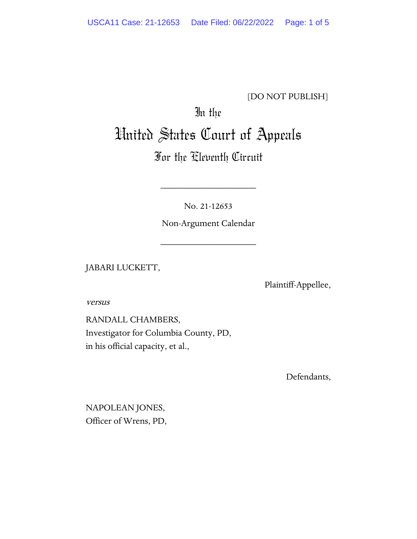### [DO NOT PUBLISH]

# In the United States Court of Appeals

## For the Eleventh Circuit

No. 21-12653

\_\_\_\_\_\_\_\_\_\_\_\_\_\_\_\_\_\_\_\_

Non-Argument Calendar

\_\_\_\_\_\_\_\_\_\_\_\_\_\_\_\_\_\_\_\_

JABARI LUCKETT,

Plaintiff-Appellee,

versus

RANDALL CHAMBERS, Investigator for Columbia County, PD, in his official capacity, et al.,

Defendants,

NAPOLEAN JONES, Officer of Wrens, PD,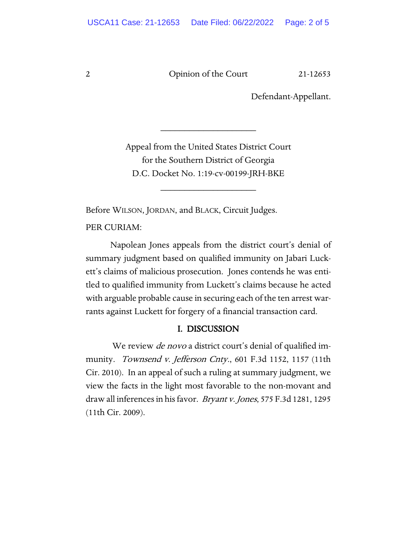2 Opinion of the Court 21-12653

Defendant-Appellant.

Appeal from the United States District Court for the Southern District of Georgia D.C. Docket No. 1:19-cv-00199-JRH-BKE

\_\_\_\_\_\_\_\_\_\_\_\_\_\_\_\_\_\_\_\_

\_\_\_\_\_\_\_\_\_\_\_\_\_\_\_\_\_\_\_\_

Before WILSON, JORDAN, and BLACK, Circuit Judges.

PER CURIAM:

Napolean Jones appeals from the district court's denial of summary judgment based on qualified immunity on Jabari Luckett's claims of malicious prosecution. Jones contends he was entitled to qualified immunity from Luckett's claims because he acted with arguable probable cause in securing each of the ten arrest warrants against Luckett for forgery of a financial transaction card.

#### I. DISCUSSION

We review *de novo* a district court's denial of qualified immunity. Townsend v. Jefferson Cnty., 601 F.3d 1152, 1157 (11th Cir. 2010). In an appeal of such a ruling at summary judgment, we view the facts in the light most favorable to the non-movant and draw all inferences in his favor. Bryant v. Jones, 575 F.3d 1281, 1295 (11th Cir. 2009).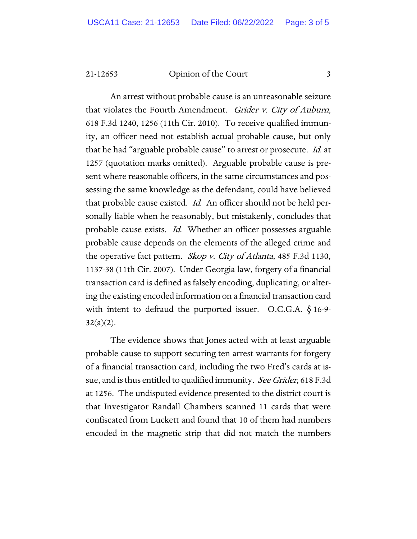21-12653 Opinion of the Court 3

An arrest without probable cause is an unreasonable seizure that violates the Fourth Amendment. *Grider v. City of Auburn*, 618 F.3d 1240, 1256 (11th Cir. 2010). To receive qualified immunity, an officer need not establish actual probable cause, but only that he had "arguable probable cause" to arrest or prosecute. Id. at 1257 (quotation marks omitted). Arguable probable cause is present where reasonable officers, in the same circumstances and possessing the same knowledge as the defendant, could have believed that probable cause existed. *Id.* An officer should not be held personally liable when he reasonably, but mistakenly, concludes that probable cause exists. Id. Whether an officer possesses arguable probable cause depends on the elements of the alleged crime and the operative fact pattern. *Skop v. City of Atlanta*, 485 F.3d 1130, 1137-38 (11th Cir. 2007). Under Georgia law, forgery of a financial transaction card is defined as falsely encoding, duplicating, or altering the existing encoded information on a financial transaction card with intent to defraud the purported issuer. O.C.G.A. § 16-9- $32(a)(2)$ .

The evidence shows that Jones acted with at least arguable probable cause to support securing ten arrest warrants for forgery of a financial transaction card, including the two Fred's cards at issue, and is thus entitled to qualified immunity. See Grider, 618 F.3d at 1256. The undisputed evidence presented to the district court is that Investigator Randall Chambers scanned 11 cards that were confiscated from Luckett and found that 10 of them had numbers encoded in the magnetic strip that did not match the numbers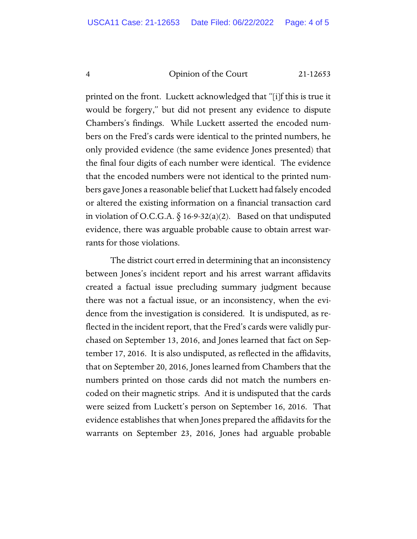#### 4 Opinion of the Court 21-12653

printed on the front. Luckett acknowledged that "[i]f this is true it would be forgery," but did not present any evidence to dispute Chambers's findings. While Luckett asserted the encoded numbers on the Fred's cards were identical to the printed numbers, he only provided evidence (the same evidence Jones presented) that the final four digits of each number were identical. The evidence that the encoded numbers were not identical to the printed numbers gave Jones a reasonable belief that Luckett had falsely encoded or altered the existing information on a financial transaction card in violation of O.C.G.A.  $\S$  16-9-32(a)(2). Based on that undisputed evidence, there was arguable probable cause to obtain arrest warrants for those violations.

The district court erred in determining that an inconsistency between Jones's incident report and his arrest warrant affidavits created a factual issue precluding summary judgment because there was not a factual issue, or an inconsistency, when the evidence from the investigation is considered. It is undisputed, as reflected in the incident report, that the Fred's cards were validly purchased on September 13, 2016, and Jones learned that fact on September 17, 2016. It is also undisputed, as reflected in the affidavits, that on September 20, 2016, Jones learned from Chambers that the numbers printed on those cards did not match the numbers encoded on their magnetic strips. And it is undisputed that the cards were seized from Luckett's person on September 16, 2016. That evidence establishes that when Jones prepared the affidavits for the warrants on September 23, 2016, Jones had arguable probable